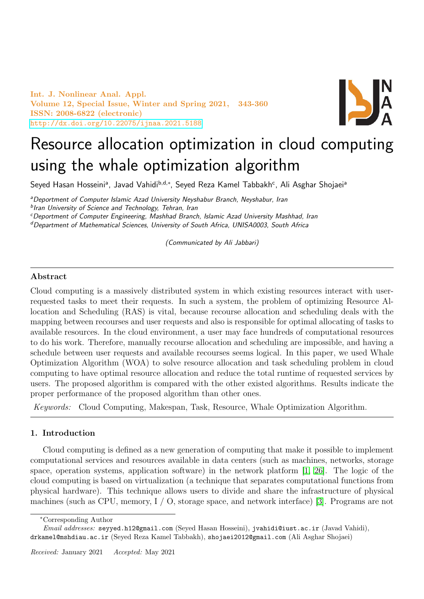Int. J. Nonlinear Anal. Appl. Volume 12, Special Issue, Winter and Spring 2021, 343-360 ISSN: 2008-6822 (electronic) <http://dx.doi.org/10.22075/ijnaa.2021.5188>



# Resource allocation optimization in cloud computing using the whale optimization algorithm

Seyed Hasan Hosseiniª, Javad Vahidi<sup>b,d,</sup>\*, Seyed Reza Kamel Tabbakh<sup>c</sup>, Ali Asghar Shojaeiª

<sup>a</sup>Deportment of Computer Islamic Azad University Neyshabur Branch, Neyshabur, Iran

<sup>b</sup>Iran University of Science and Technology, Tehran, Iran

<sup>c</sup>Deportment of Computer Engineering, Mashhad Branch, Islamic Azad University Mashhad, Iran dDepartment of Mathematical Sciences, University of South Africa, UNISA0003, South Africa

(Communicated by Ali Jabbari)

## Abstract

Cloud computing is a massively distributed system in which existing resources interact with userrequested tasks to meet their requests. In such a system, the problem of optimizing Resource Allocation and Scheduling (RAS) is vital, because recourse allocation and scheduling deals with the mapping between recourses and user requests and also is responsible for optimal allocating of tasks to available resources. In the cloud environment, a user may face hundreds of computational resources to do his work. Therefore, manually recourse allocation and scheduling are impossible, and having a schedule between user requests and available recourses seems logical. In this paper, we used Whale Optimization Algorithm (WOA) to solve resource allocation and task scheduling problem in cloud computing to have optimal resource allocation and reduce the total runtime of requested services by users. The proposed algorithm is compared with the other existed algorithms. Results indicate the proper performance of the proposed algorithm than other ones.

Keywords: Cloud Computing, Makespan, Task, Resource, Whale Optimization Algorithm.

## 1. Introduction

Cloud computing is defined as a new generation of computing that make it possible to implement computational services and resources available in data centers (such as machines, networks, storage space, operation systems, application software) in the network platform [\[1,](#page-16-0) [26\]](#page-16-1). The logic of the cloud computing is based on virtualization (a technique that separates computational functions from physical hardware). This technique allows users to divide and share the infrastructure of physical machines (such as CPU, memory, I / O, storage space, and network interface) [\[3\]](#page-16-2). Programs are not

<sup>∗</sup>Corresponding Author

Email addresses: seyyed.h12@gmail.com (Seyed Hasan Hosseini), jvahidi@iust.ac.ir (Javad Vahidi), drkamel@mshdiau.ac.ir (Seyed Reza Kamel Tabbakh), shojaei2012@gmail.com (Ali Asghar Shojaei)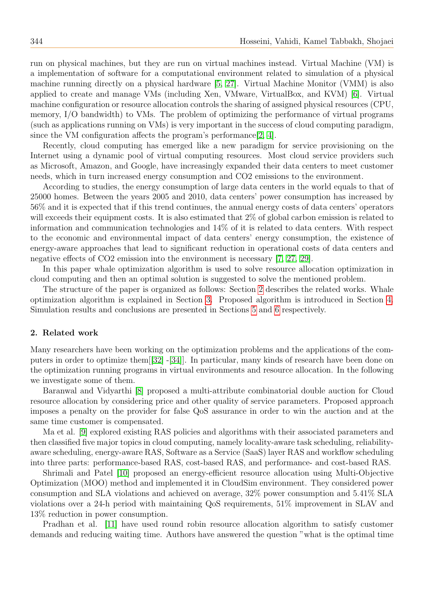run on physical machines, but they are run on virtual machines instead. Virtual Machine (VM) is a implementation of software for a computational environment related to simulation of a physical machine running directly on a physical hardware [\[5,](#page-16-3) [27\]](#page-16-4). Virtual Machine Monitor (VMM) is also applied to create and manage VMs (including Xen, VMware, VirtualBox, and KVM) [\[6\]](#page-16-5). Virtual machine configuration or resource allocation controls the sharing of assigned physical resources (CPU, memory, I/O bandwidth) to VMs. The problem of optimizing the performance of virtual programs (such as applications running on VMs) is very important in the success of cloud computing paradigm, since the VM configuration affects the program's performance[\[2,](#page-16-6) [4\]](#page-16-7).

Recently, cloud computing has emerged like a new paradigm for service provisioning on the Internet using a dynamic pool of virtual computing resources. Most cloud service providers such as Microsoft, Amazon, and Google, have increasingly expanded their data centers to meet customer needs, which in turn increased energy consumption and CO2 emissions to the environment.

According to studies, the energy consumption of large data centers in the world equals to that of 25000 homes. Between the years 2005 and 2010, data centers' power consumption has increased by 56% and it is expected that if this trend continues, the annual energy costs of data centers' operators will exceeds their equipment costs. It is also estimated that 2% of global carbon emission is related to information and communication technologies and 14% of it is related to data centers. With respect to the economic and environmental impact of data centers' energy consumption, the existence of energy-aware approaches that lead to significant reduction in operational costs of data centers and negative effects of CO2 emission into the environment is necessary [\[7,](#page-16-8) [27,](#page-16-4) [29\]](#page-17-0).

In this paper whale optimization algorithm is used to solve resource allocation optimization in cloud computing and then an optimal solution is suggested to solve the mentioned problem.

The structure of the paper is organized as follows: Section [2](#page-1-0) describes the related works. Whale optimization algorithm is explained in Section [3.](#page-3-0) Proposed algorithm is introduced in Section [4.](#page-4-0) Simulation results and conclusions are presented in Sections [5](#page-10-0) and [6](#page-15-0) respectively.

#### <span id="page-1-0"></span>2. Related work

Many researchers have been working on the optimization problems and the applications of the computers in order to optimize them[[\[32\]](#page-17-1) -[\[34\]](#page-17-2)]. In particular, many kinds of research have been done on the optimization running programs in virtual environments and resource allocation. In the following we investigate some of them.

Baranwal and Vidyarthi [\[8\]](#page-16-9) proposed a multi-attribute combinatorial double auction for Cloud resource allocation by considering price and other quality of service parameters. Proposed approach imposes a penalty on the provider for false QoS assurance in order to win the auction and at the same time customer is compensated.

Ma et al. [\[9\]](#page-16-10) explored existing RAS policies and algorithms with their associated parameters and then classified five major topics in cloud computing, namely locality-aware task scheduling, reliabilityaware scheduling, energy-aware RAS, Software as a Service (SaaS) layer RAS and workflow scheduling into three parts: performance-based RAS, cost-based RAS, and performance- and cost-based RAS.

Shrimali and Patel [\[10\]](#page-16-11) proposed an energy-efficient resource allocation using Multi-Objective Optimization (MOO) method and implemented it in CloudSim environment. They considered power consumption and SLA violations and achieved on average, 32% power consumption and 5.41% SLA violations over a 24-h period with maintaining QoS requirements, 51% improvement in SLAV and 13% reduction in power consumption.

Pradhan et al. [\[11\]](#page-16-12) have used round robin resource allocation algorithm to satisfy customer demands and reducing waiting time. Authors have answered the question "what is the optimal time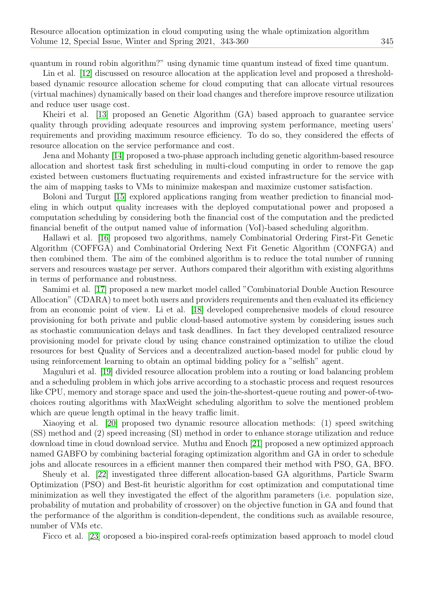quantum in round robin algorithm?" using dynamic time quantum instead of fixed time quantum.

Lin et al. [\[12\]](#page-16-13) discussed on resource allocation at the application level and proposed a thresholdbased dynamic resource allocation scheme for cloud computing that can allocate virtual resources (virtual machines) dynamically based on their load changes and therefore improve resource utilization and reduce user usage cost.

Kheiri et al. [\[13\]](#page-16-14) proposed an Genetic Algorithm (GA) based approach to guarantee service quality through providing adequate resources and improving system performance, meeting users' requirements and providing maximum resource efficiency. To do so, they considered the effects of resource allocation on the service performance and cost.

Jena and Mohanty [\[14\]](#page-16-15) proposed a two-phase approach including genetic algorithm-based resource allocation and shortest task first scheduling in multi-cloud computing in order to remove the gap existed between customers fluctuating requirements and existed infrastructure for the service with the aim of mapping tasks to VMs to minimize makespan and maximize customer satisfaction.

Boloni and Turgut [\[15\]](#page-16-16) explored applications ranging from weather prediction to financial modeling in which output quality increases with the deployed computational power and proposed a computation scheduling by considering both the financial cost of the computation and the predicted financial benefit of the output named value of information (VoI)-based scheduling algorithm.

Hallawi et al. [\[16\]](#page-16-17) proposed two algorithms, namely Combinatorial Ordering First-Fit Genetic Algorithm (COFFGA) and Combinatorial Ordering Next Fit Genetic Algorithm (CONFGA) and then combined them. The aim of the combined algorithm is to reduce the total number of running servers and resources wastage per server. Authors compared their algorithm with existing algorithms in terms of performance and robustness.

Samimi et al. [\[17\]](#page-16-18) proposed a new market model called "Combinatorial Double Auction Resource Allocation" (CDARA) to meet both users and providers requirements and then evaluated its efficiency from an economic point of view. Li et al. [\[18\]](#page-16-19) developed comprehensive models of cloud resource provisioning for both private and public cloud-based automotive system by considering issues such as stochastic communication delays and task deadlines. In fact they developed centralized resource provisioning model for private cloud by using chance constrained optimization to utilize the cloud resources for best Quality of Services and a decentralized auction-based model for public cloud by using reinforcement learning to obtain an optimal bidding policy for a "selfish" agent.

Maguluri et al. [\[19\]](#page-16-20) divided resource allocation problem into a routing or load balancing problem and a scheduling problem in which jobs arrive according to a stochastic process and request resources like CPU, memory and storage space and used the join-the-shortest-queue routing and power-of-twochoices routing algorithms with MaxWeight scheduling algorithm to solve the mentioned problem which are queue length optimal in the heavy traffic limit.

Xiaoying et al. [\[20\]](#page-16-21) proposed two dynamic resource allocation methods: (1) speed switching (SS) method and (2) speed increasing (SI) method in order to enhance storage utilization and reduce download time in cloud download service. Muthu and Enoch [\[21\]](#page-16-22) proposed a new optimized approach named GABFO by combining bacterial foraging optimization algorithm and GA in order to schedule jobs and allocate resources in a efficient manner then compared their method with PSO, GA, BFO.

Sheuly et al. [\[22\]](#page-16-23) investigated three different allocation-based GA algorithms, Particle Swarm Optimization (PSO) and Best-fit heuristic algorithm for cost optimization and computational time minimization as well they investigated the effect of the algorithm parameters (i.e. population size, probability of mutation and probability of crossover) on the objective function in GA and found that the performance of the algorithm is condition-dependent, the conditions such as available resource, number of VMs etc.

Ficco et al. [\[23\]](#page-16-24) oroposed a bio-inspired coral-reefs optimization based approach to model cloud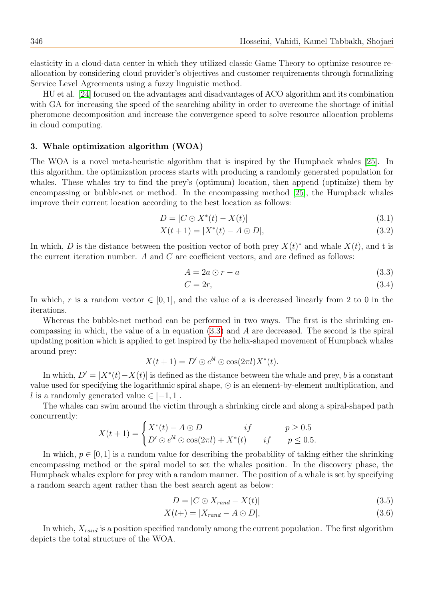elasticity in a cloud-data center in which they utilized classic Game Theory to optimize resource reallocation by considering cloud provider's objectives and customer requirements through formalizing Service Level Agreements using a fuzzy linguistic method.

HU et al. [\[24\]](#page-16-25) focused on the advantages and disadvantages of ACO algorithm and its combination with GA for increasing the speed of the searching ability in order to overcome the shortage of initial pheromone decomposition and increase the convergence speed to solve resource allocation problems in cloud computing.

## <span id="page-3-0"></span>3. Whale optimization algorithm (WOA)

The WOA is a novel meta-heuristic algorithm that is inspired by the Humpback whales [\[25\]](#page-16-26). In this algorithm, the optimization process starts with producing a randomly generated population for whales. These whales try to find the prey's (optimum) location, then append (optimize) them by encompassing or bubble-net or method. In the encompassing method [\[25\]](#page-16-26), the Humpback whales improve their current location according to the best location as follows:

$$
D = |C \odot X^*(t) - X(t)| \tag{3.1}
$$

$$
X(t+1) = |X^*(t) - A \odot D|,
$$
\n(3.2)

In which, D is the distance between the position vector of both prey  $X(t)^*$  and whale  $X(t)$ , and t is the current iteration number.  $A$  and  $C$  are coefficient vectors, and are defined as follows:

<span id="page-3-1"></span>
$$
A = 2a \odot r - a \tag{3.3}
$$

$$
C = 2r,\t\t(3.4)
$$

In which, r is a random vector  $\in [0, 1]$ , and the value of a is decreased linearly from 2 to 0 in the iterations.

Whereas the bubble-net method can be performed in two ways. The first is the shrinking encompassing in which, the value of a in equation  $(3.3)$  and A are decreased. The second is the spiral updating position which is applied to get inspired by the helix-shaped movement of Humpback whales around prey:

$$
X(t+1) = D' \odot e^{bl} \odot \cos(2\pi l) X^*(t).
$$

In which,  $D' = |X^*(t) - X(t)|$  is defined as the distance between the whale and prey, b is a constant value used for specifying the logarithmic spiral shape,  $\odot$  is an element-by-element multiplication, and l is a randomly generated value  $\in [-1, 1]$ .

The whales can swim around the victim through a shrinking circle and along a spiral-shaped path concurrently:

$$
X(t+1) = \begin{cases} X^*(t) - A \odot D & if \quad p \ge 0.5\\ D' \odot e^{bl} \odot \cos(2\pi l) + X^*(t) & if \quad p \le 0.5. \end{cases}
$$

In which,  $p \in [0, 1]$  is a random value for describing the probability of taking either the shrinking encompassing method or the spiral model to set the whales position. In the discovery phase, the Humpback whales explore for prey with a random manner. The position of a whale is set by specifying a random search agent rather than the best search agent as below:

$$
D = |C \odot X_{rand} - X(t)| \tag{3.5}
$$

$$
X(t+) = |X_{rand} - A \odot D|,\tag{3.6}
$$

In which,  $X_{rand}$  is a position specified randomly among the current population. The first algorithm depicts the total structure of the WOA.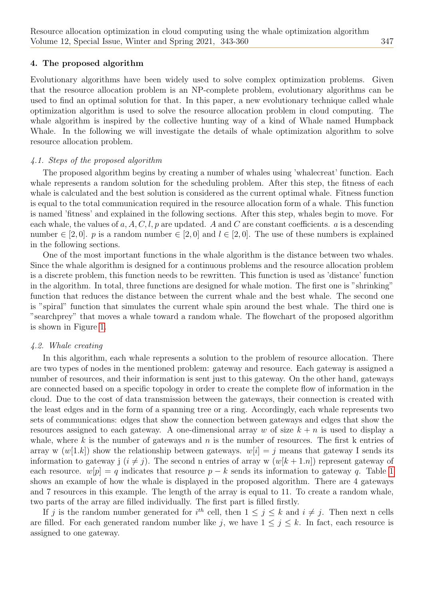#### <span id="page-4-0"></span>4. The proposed algorithm

Evolutionary algorithms have been widely used to solve complex optimization problems. Given that the resource allocation problem is an NP-complete problem, evolutionary algorithms can be used to find an optimal solution for that. In this paper, a new evolutionary technique called whale optimization algorithm is used to solve the resource allocation problem in cloud computing. The whale algorithm is inspired by the collective hunting way of a kind of Whale named Humpback Whale. In the following we will investigate the details of whale optimization algorithm to solve resource allocation problem.

## 4.1. Steps of the proposed algorithm

The proposed algorithm begins by creating a number of whales using 'whalecreat' function. Each whale represents a random solution for the scheduling problem. After this step, the fitness of each whale is calculated and the best solution is considered as the current optimal whale. Fitness function is equal to the total communication required in the resource allocation form of a whale. This function is named 'fitness' and explained in the following sections. After this step, whales begin to move. For each whale, the values of  $a, A, C, l, p$  are updated. A and C are constant coefficients. a is a descending number  $\in [2,0]$ . p is a random number  $\in [2,0]$  and  $l \in [2,0]$ . The use of these numbers is explained in the following sections.

One of the most important functions in the whale algorithm is the distance between two whales. Since the whale algorithm is designed for a continuous problems and the resource allocation problem is a discrete problem, this function needs to be rewritten. This function is used as 'distance' function in the algorithm. In total, three functions are designed for whale motion. The first one is "shrinking" function that reduces the distance between the current whale and the best whale. The second one is "spiral" function that simulates the current whale spin around the best whale. The third one is "searchprey" that moves a whale toward a random whale. The flowchart of the proposed algorithm is shown in Figure [1.](#page-5-0)

### 4.2. Whale creating

In this algorithm, each whale represents a solution to the problem of resource allocation. There are two types of nodes in the mentioned problem: gateway and resource. Each gateway is assigned a number of resources, and their information is sent just to this gateway. On the other hand, gateways are connected based on a specific topology in order to create the complete flow of information in the cloud. Due to the cost of data transmission between the gateways, their connection is created with the least edges and in the form of a spanning tree or a ring. Accordingly, each whale represents two sets of communications: edges that show the connection between gateways and edges that show the resources assigned to each gateway. A one-dimensional array w of size  $k + n$  is used to display a whale, where k is the number of gateways and n is the number of resources. The first k entries of array w  $(w[1,k])$  show the relationship between gateways.  $w[i] = j$  means that gateway I sends its information to gateway j  $(i \neq j)$ . The second n entries of array w  $(w[k + 1,n])$  represent gateway of each resource.  $w[p] = q$  indicates that resource  $p - k$  sends its information to gateway q. Table [1](#page-6-0) shows an example of how the whale is displayed in the proposed algorithm. There are 4 gateways and 7 resources in this example. The length of the array is equal to 11. To create a random whale, two parts of the array are filled individually. The first part is filled firstly.

If j is the random number generated for  $i^{th}$  cell, then  $1 \leq j \leq k$  and  $i \neq j$ . Then next n cells are filled. For each generated random number like j, we have  $1 \leq j \leq k$ . In fact, each resource is assigned to one gateway.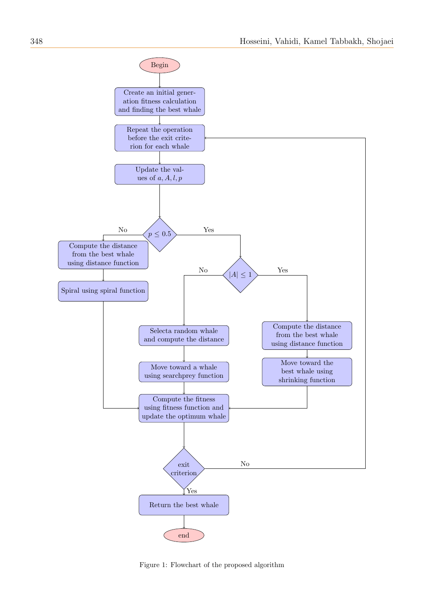

<span id="page-5-0"></span>Figure 1: Flowchart of the proposed algorithm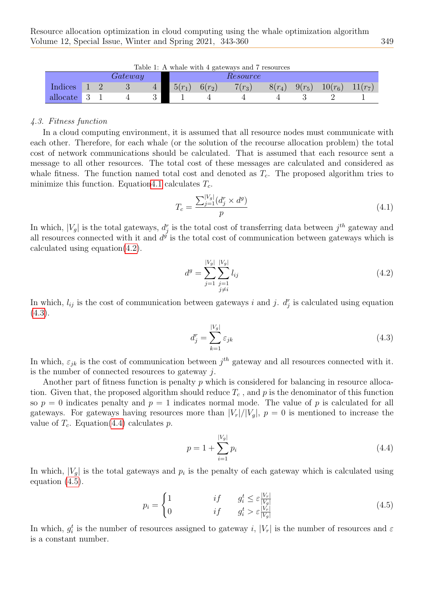<span id="page-6-0"></span>

| Table 1: A whale with 4 gateways and 7 resources |  |  |                  |  |          |            |                 |          |          |           |                 |
|--------------------------------------------------|--|--|------------------|--|----------|------------|-----------------|----------|----------|-----------|-----------------|
|                                                  |  |  | $\emph{Gateway}$ |  |          |            | <i>Resource</i> |          |          |           |                 |
| Indices                                          |  |  |                  |  | $5(r_1)$ | $6(r_{2})$ | $7(r_3)$        | $8(r_4)$ | $9(r_5)$ | $10(r_6)$ | $\frac{1}{r_7}$ |
| allocate                                         |  |  |                  |  |          |            |                 |          |          |           |                 |

### 4.3. Fitness function

In a cloud computing environment, it is assumed that all resource nodes must communicate with each other. Therefore, for each whale (or the solution of the recourse allocation problem) the total cost of network communications should be calculated. That is assumed that each resource sent a message to all other resources. The total cost of these messages are calculated and considered as whale fitness. The function named total cost and denoted as  $T_c$ . The proposed algorithm tries to minimize this function. Equatio[n4.1](#page-6-1) calculates  $T_c$ .

<span id="page-6-1"></span>
$$
T_c = \frac{\sum_{j=1}^{|V_g|} (d_j^r \times d^g)}{p}
$$
\n(4.1)

In which,  $|V_g|$  is the total gateways,  $d_j^r$  is the total cost of transferring data between  $j^{th}$  gateway and all resources connected with it and  $d^g$  is the total cost of communication between gateways which is calculated using equation $(4.2)$ .

<span id="page-6-2"></span>
$$
d^{g} = \sum_{j=1}^{|V_g|} \sum_{\substack{j=1 \ j \neq i}}^{|V_g|} l_{ij}
$$
\n(4.2)

In which,  $l_{ij}$  is the cost of communication between gateways i and j.  $d_j^r$  is calculated using equation  $(4.3).$  $(4.3).$ 

<span id="page-6-3"></span>
$$
d_j^r = \sum_{k=1}^{|V_g|} \varepsilon_{jk} \tag{4.3}
$$

In which,  $\varepsilon_{jk}$  is the cost of communication between  $j^{th}$  gateway and all resources connected with it. is the number of connected resources to gateway  $i$ .

Another part of fitness function is penalty p which is considered for balancing in resource allocation. Given that, the proposed algorithm should reduce  $T_c$ , and p is the denominator of this function so  $p = 0$  indicates penalty and  $p = 1$  indicates normal mode. The value of p is calculated for all gateways. For gateways having resources more than  $|V_r|/|V_q|$ ,  $p = 0$  is mentioned to increase the value of  $T_c$ . Equation[\(4.4\)](#page-6-4) calculates p.

<span id="page-6-5"></span><span id="page-6-4"></span>
$$
p = 1 + \sum_{i=1}^{|V_g|} p_i \tag{4.4}
$$

In which,  $|V_g|$  is the total gateways and  $p_i$  is the penalty of each gateway which is calculated using equation [\(4.5\)](#page-6-5).

$$
p_i = \begin{cases} 1 & \text{if} \qquad g_i^t \le \varepsilon \frac{|V_r|}{|V_g|} \\ 0 & \text{if} \qquad g_i^t > \varepsilon \frac{|V_r|}{|V_g|} \end{cases} \tag{4.5}
$$

In which,  $g_i^t$  is the number of resources assigned to gateway i,  $|V_r|$  is the number of resources and  $\varepsilon$ is a constant number.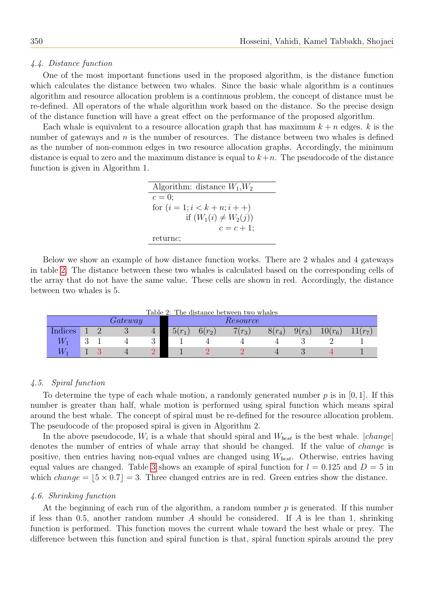#### 4.4. Distance function

One of the most important functions used in the proposed algorithm, is the distance function which calculates the distance between two whales. Since the basic whale algorithm is a continues algorithm and resource allocation problem is a continuous problem, the concept of distance must be re-defined. All operators of the whale algorithm work based on the distance. So the precise design of the distance function will have a great effect on the performance of the proposed algorithm.

Each whale is equivalent to a resource allocation graph that has maximum  $k + n$  edges. k is the number of gateways and  $n$  is the number of resources. The distance between two whales is defined as the number of non-common edges in two resource allocation graphs. Accordingly, the minimum distance is equal to zero and the maximum distance is equal to  $k+n$ . The pseudocode of the distance function is given in Algorithm 1.

> Algorithm: distance  $W_1, W_2$  $c=0;$ for  $(i = 1; i < k + n; i + )$ if  $(W_1(i) \neq W_2(j))$  $c = c + 1;$ returnc;

Below we show an example of how distance function works. There are 2 whales and 4 gateways in table [2.](#page-7-0) The distance between these two whales is calculated based on the corresponding cells of the array that do not have the same value. These cells are shown in red. Accordingly, the distance between two whales is 5.

Table 2: The distance between two whales

<span id="page-7-0"></span>

|           |          | $\emph{rateway}$ |                |          |          | Resource |          |          |           |           |
|-----------|----------|------------------|----------------|----------|----------|----------|----------|----------|-----------|-----------|
| $Indices$ |          | ಀ                | $\overline{4}$ | $5(r_1)$ | $6(r_2)$ | $7(r_3)$ | $8(r_4)$ | $9(r_5)$ | $10(r_6)$ | $11(r_7)$ |
|           | $\Omega$ | <b>T</b>         | ಲ              |          |          |          |          |          | ∼         |           |
|           |          |                  |                |          |          |          |          |          |           |           |

#### 4.5. Spiral function

To determine the type of each whale motion, a randomly generated number  $p$  is in [0, 1]. If this number is greater than half, whale motion is performed using spiral function which means spiral around the best whale. The concept of spiral must be re-defined for the resource allocation problem. The pseudocode of the proposed spiral is given in Algorithm 2.

In the above pseudocode,  $W_i$  is a whale that should spiral and  $W_{best}$  is the best whale.  $|change|$ denotes the number of entries of whale array that should be changed. If the value of change is positive, then entries having non-equal values are changed using  $W_{best}$ . Otherwise, entries having equal values are changed. Table [3](#page-8-0) shows an example of spiral function for  $l = 0.125$  and  $D = 5$  in which *change* =  $|5 \times 0.7|$  = 3. Three changed entries are in red. Green entries show the distance.

#### 4.6. Shrinking function

At the beginning of each run of the algorithm, a random number  $p$  is generated. If this number if less than 0.5, another random number A should be considered. If A is lee than 1, shrinking function is performed. This function moves the current whale toward the best whale or prey. The difference between this function and spiral function is that, spiral function spirals around the prey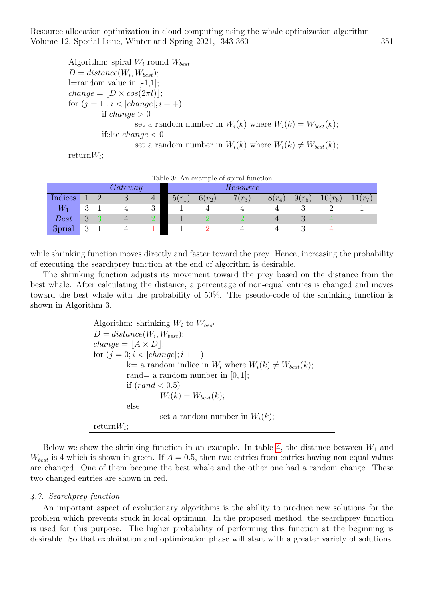Resource allocation optimization in cloud computing using the whale optimization algorithm Volume 12, Special Issue, Winter and Spring 2021, 343-360 351

| Algorithm: spiral $W_i$ round $W_{best}$                          |
|-------------------------------------------------------------------|
|                                                                   |
| $D = distance(W_i, W_{best});$                                    |
| $l =$ random value in $[-1,1]$ ;                                  |
| $change =  D \times cos(2\pi l) ;$                                |
| for $(j = 1 : i <  change ; i + +)$                               |
| if change $> 0$                                                   |
| set a random number in $W_i(k)$ where $W_i(k) = W_{best}(k)$ ;    |
| ifelse <i>change</i> $< 0$                                        |
| set a random number in $W_i(k)$ where $W_i(k) \neq W_{best}(k)$ ; |
| return $W_i$ ;                                                    |

<span id="page-8-0"></span>

| Table 3: An example of spiral function |   |  |   |                |          |          |          |          |          |           |           |
|----------------------------------------|---|--|---|----------------|----------|----------|----------|----------|----------|-----------|-----------|
| Gateway<br>Resource                    |   |  |   |                |          |          |          |          |          |           |           |
| Indices                                |   |  | Ő | $\overline{4}$ | $5(r_1)$ | $6(r_2)$ | $7(r_3)$ | $8(r_4)$ | $9(r_5)$ | $10(r_6)$ | $11(r_7)$ |
| $W_1$                                  | റ |  |   | 3              |          |          |          |          |          |           |           |
| Best                                   |   |  |   |                |          |          |          |          |          |           |           |
| Sprial                                 |   |  |   |                |          |          |          |          |          |           |           |

while shrinking function moves directly and faster toward the prey. Hence, increasing the probability of executing the searchprey function at the end of algorithm is desirable.

The shrinking function adjusts its movement toward the prey based on the distance from the best whale. After calculating the distance, a percentage of non-equal entries is changed and moves toward the best whale with the probability of 50%. The pseudo-code of the shrinking function is shown in Algorithm 3.

> Algorithm: shrinking  $W_i$  to  $W_{best}$  $D = distance(W_i, W_{best});$  $change = |A \times D|;$ for  $(j = 0; i < |change|; i + +)$  $k=$  a random indice in  $W_i$  where  $W_i(k) \neq W_{best}(k);$ rand= a random number in  $[0, 1]$ ; if  $(rand < 0.5)$  $W_i(k) = W_{best}(k);$ else set a random number in  $W_i(k)$ ;  $return W_i;$

Below we show the shrinking function in an example. In table [4,](#page-9-0) the distance between  $W_1$  and  $W_{best}$  is 4 which is shown in green. If  $A = 0.5$ , then two entries from entries having non-equal values are changed. One of them become the best whale and the other one had a random change. These two changed entries are shown in red.

#### 4.7. Searchprey function

An important aspect of evolutionary algorithms is the ability to produce new solutions for the problem which prevents stuck in local optimum. In the proposed method, the searchprey function is used for this purpose. The higher probability of performing this function at the beginning is desirable. So that exploitation and optimization phase will start with a greater variety of solutions.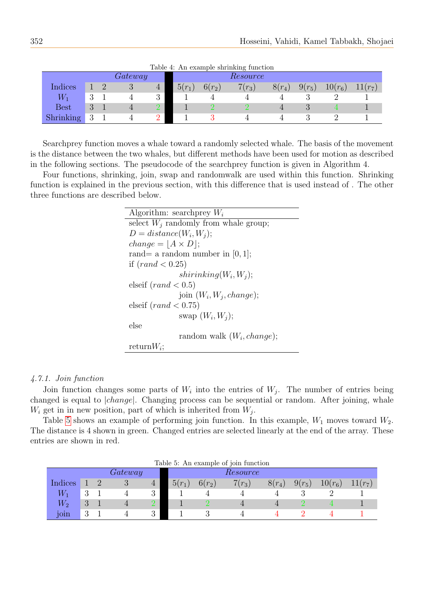<span id="page-9-0"></span>

| rapid 1. THE example billiming random |   |  |                  |  |          |          |                                           |          |          |           |                     |
|---------------------------------------|---|--|------------------|--|----------|----------|-------------------------------------------|----------|----------|-----------|---------------------|
|                                       |   |  | $\emph{Gateway}$ |  |          |          | Resource                                  |          |          |           |                     |
| Indices                               |   |  | ಲ                |  | $5(r_1)$ | $6(r_2)$ | $\overline{\phantom{a}}$<br>$\sigma(r_3)$ | $8(r_4)$ | $9(r_5)$ | $10(r_6)$ | 11(r <sub>7</sub> ) |
| $\mathcal{N}_1$                       | റ |  |                  |  |          |          |                                           |          |          |           |                     |
| $\text{Best}$                         |   |  |                  |  |          |          |                                           |          |          |           |                     |
| <b>Shrinking</b>                      |   |  |                  |  |          |          |                                           |          |          |           |                     |

Table 4: An example shrinking function

Searchprey function moves a whale toward a randomly selected whale. The basis of the movement is the distance between the two whales, but different methods have been used for motion as described in the following sections. The pseudocode of the searchprey function is given in Algorithm 4.

Four functions, shrinking, join, swap and randomwalk are used within this function. Shrinking function is explained in the previous section, with this difference that is used instead of . The other three functions are described below.

> Algorithm: searchprey  $W_i$ select  $W_i$  randomly from whale group;  $D = distance(W_i, W_j);$  $change = |A \times D|;$ rand= a random number in  $[0, 1]$ ; if  $(rand < 0.25)$  $shirinking(W_i, W_j);$ elseif  $(rand < 0.5)$ join  $(W_i, W_j, change);$ elseif  $(rand < 0.75)$ swap  $(W_i, W_j);$ else random walk  $(W_i, change);$  $return W_i;$

#### 4.7.1. Join function

Join function changes some parts of  $W_i$  into the entries of  $W_j$ . The number of entries being changed is equal to |change|. Changing process can be sequential or random. After joining, whale  $W_i$  get in in new position, part of which is inherited from  $W_j$ .

Table [5](#page-9-1) shows an example of performing join function. In this example,  $W_1$  moves toward  $W_2$ . The distance is 4 shown in green. Changed entries are selected linearly at the end of the array. These entries are shown in red.

<span id="page-9-1"></span>

| Table 5: An example of join function |          |  |         |   |          |            |          |          |          |           |             |
|--------------------------------------|----------|--|---------|---|----------|------------|----------|----------|----------|-----------|-------------|
|                                      |          |  | Gateway |   |          | Resource   |          |          |          |           |             |
| Indices                              |          |  | Ō       | 4 | $5(r_1)$ | $6(r_{2})$ | $7(r_3)$ | $8(r_4)$ | $9(r_5)$ | $10(r_6)$ | $11(r_{7})$ |
| $W_1$                                | ◡        |  |         | 3 |          |            |          |          |          |           |             |
| $W_{\rm 2}$                          | $\Omega$ |  |         |   |          |            |          |          |          |           |             |
| 101n                                 | റ        |  |         | 3 |          |            |          |          |          |           |             |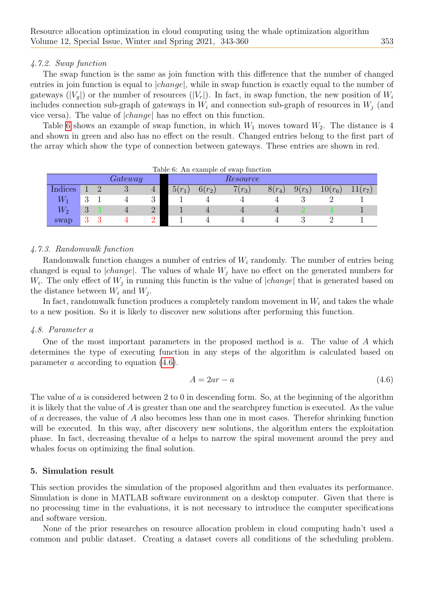## 4.7.2. Swap function

The swap function is the same as join function with this difference that the number of changed entries in join function is equal to  $|change|$ , while in swap function is exactly equal to the number of gateways  $(|V_q|)$  or the number of resources  $(|V_r|)$ . In fact, in swap function, the new position of  $W_i$ includes connection sub-graph of gateways in  $W_i$  and connection sub-graph of resources in  $W_j$  (and vice versa). The value of |change| has no effect on this function.

Table [6](#page-10-1) shows an example of swap function, in which  $W_1$  moves toward  $W_2$ . The distance is 4 and shown in green and also has no effect on the result. Changed entries belong to the first part of the array which show the type of connection between gateways. These entries are shown in red.

<span id="page-10-1"></span>

| Table 6: An example of swap function |          |          |         |                |          |                 |          |          |          |           |           |
|--------------------------------------|----------|----------|---------|----------------|----------|-----------------|----------|----------|----------|-----------|-----------|
|                                      |          |          | Gateway |                |          | <i>Resource</i> |          |          |          |           |           |
| Indices                              |          | $\Omega$ | ◡       | $\overline{4}$ | $5(r_1)$ | $6(r_2)$        | $7(r_3)$ | $8(r_4)$ | $9(r_5)$ | $10(r_6)$ | $11(r_7)$ |
| $\,_{1}$                             | $\Omega$ |          |         | ◡              |          |                 |          |          |          |           |           |
| $\,W_2$                              | $\Omega$ |          |         |                |          |                 |          | 4        |          |           |           |
| swap                                 |          |          |         |                |          |                 |          |          |          |           |           |

# 4.7.3. Randomwalk function

Randomwalk function changes a number of entries of  $W_i$  randomly. The number of entries being changed is equal to  $|change|$ . The values of whale  $W_j$  have no effect on the generated numbers for  $W_i$ . The only effect of  $W_j$  in running this functin is the value of  $|change|$  that is generated based on the distance between  $W_i$  and  $W_j$ .

In fact, randomwalk function produces a completely random movement in  $W_i$  and takes the whale to a new position. So it is likely to discover new solutions after performing this function.

## 4.8. Parameter a

One of the most important parameters in the proposed method is a. The value of A which determines the type of executing function in any steps of the algorithm is calculated based on parameter a according to equation [\(4.6\)](#page-10-2).

<span id="page-10-2"></span>
$$
A = 2ar - a \tag{4.6}
$$

The value of a is considered between 2 to 0 in descending form. So, at the beginning of the algorithm it is likely that the value of A is greater than one and the searchprey function is executed. As the value of a decreases, the value of A also becomes less than one in most cases. Therefor shrinking function will be executed. In this way, after discovery new solutions, the algorithm enters the exploitation phase. In fact, decreasing thevalue of a helps to narrow the spiral movement around the prey and whales focus on optimizing the final solution.

## <span id="page-10-0"></span>5. Simulation result

This section provides the simulation of the proposed algorithm and then evaluates its performance. Simulation is done in MATLAB software environment on a desktop computer. Given that there is no processing time in the evaluations, it is not necessary to introduce the computer specifications and software version.

None of the prior researches on resource allocation problem in cloud computing hadn't used a common and public dataset. Creating a dataset covers all conditions of the scheduling problem.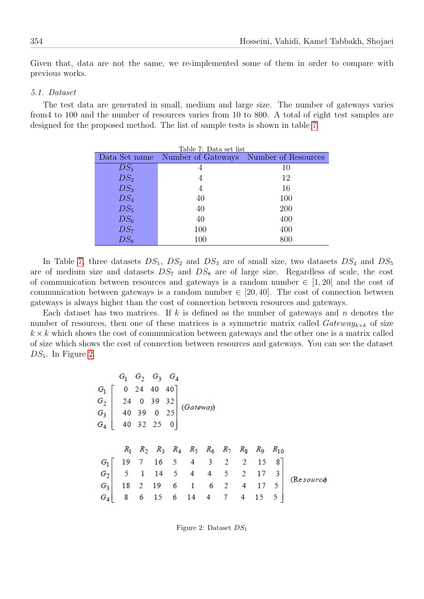Given that, data are not the same, we re-implemented some of them in order to compare with previous works.

#### 5.1. Dataset

<span id="page-11-0"></span>The test data are generated in small, medium and large size. The number of gateways varies from4 to 100 and the number of resources varies from 10 to 800. A total of eight test samples are designed for the proposed method. The list of sample tests is shown in table [7.](#page-11-0)

|                 | Data Set name Number of Gateways Number of Resources |     |
|-----------------|------------------------------------------------------|-----|
| $DS_1$          | 4                                                    | 10  |
| $DS_2$          | 4                                                    | 12  |
| DS <sub>3</sub> | 4                                                    | 16  |
| DS <sub>4</sub> | 40                                                   | 100 |
| $DS_5$          | 40                                                   | 200 |
| $DS_6$          | 40                                                   | 400 |
| $DS_7$          | 100                                                  | 400 |
| $DS_8$          | 100                                                  | 800 |

In Table [7,](#page-11-0) three datasets  $DS_1$ ,  $DS_2$  and  $DS_3$  are of small size, two datasets  $DS_4$  and  $DS_5$ are of medium size and datasets  $DS_7$  and  $DS_8$  are of large size. Regardless of scale, the cost of communication between resources and gateways is a random number  $\in [1, 20]$  and the cost of communication between gateways is a random number  $\in [20, 40]$ . The cost of connection between gateways is always higher than the cost of connection between resources and gateways.

Each dataset has two matrices. If k is defined as the number of gateways and  $n$  denotes the number of resources, then one of these matrices is a symmetric matrix called  $Gateway_{k \times k}$  of size  $k \times k$  which shows the cost of communication between gateways and the other one is a matrix called of size which shows the cost of connection between resources and gateways. You can see the dataset  $DS_1$ . In Figure [2.](#page-11-1)

$$
G_{1} \begin{bmatrix} G_{1} & G_{2} & G_{3} & G_{4} \\ G_{2} \end{bmatrix}
$$
\n
$$
G_{3} \begin{bmatrix} 0 & 24 & 40 & 40 \\ 24 & 0 & 39 & 32 \\ 40 & 39 & 0 & 25 \\ 40 & 32 & 25 & 0 \end{bmatrix}
$$
\n
$$
(Gateway)
$$
\n
$$
R_{1} \begin{bmatrix} R_{2} & R_{3} & R_{4} & R_{5} & R_{6} & R_{7} & R_{8} & R_{9} & R_{10} \\ 19 & 7 & 16 & 5 & 4 & 3 & 2 & 2 & 15 & 8 \\ 6 & 5 & 1 & 14 & 5 & 4 & 4 & 5 & 2 & 17 & 3 \\ 18 & 2 & 19 & 6 & 1 & 6 & 2 & 4 & 17 & 5 \\ 6 & 6 & 15 & 6 & 14 & 4 & 7 & 4 & 15 & 5 \end{bmatrix}
$$
\n
$$
(Resourc $\phi$ )
$$

<span id="page-11-1"></span>Figure 2: Dataset  $DS_1$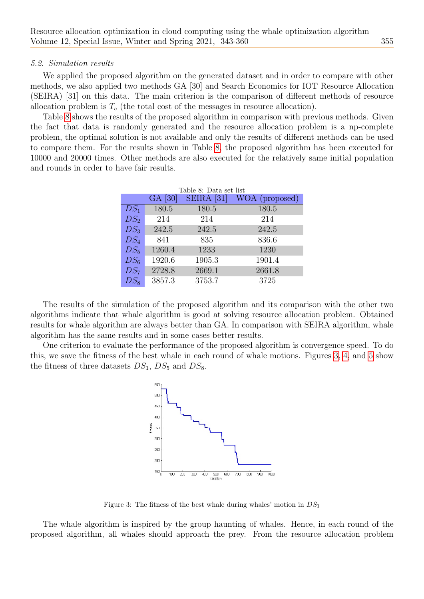#### 5.2. Simulation results

We applied the proposed algorithm on the generated dataset and in order to compare with other methods, we also applied two methods GA [30] and Search Economics for IOT Resource Allocation (SEIRA) [31] on this data. The main criterion is the comparison of different methods of resource allocation problem is  $T_c$  (the total cost of the messages in resource allocation).

<span id="page-12-0"></span>Table [8](#page-12-0) shows the results of the proposed algorithm in comparison with previous methods. Given the fact that data is randomly generated and the resource allocation problem is a np-complete problem, the optimal solution is not available and only the results of different methods can be used to compare them. For the results shown in Table [8,](#page-12-0) the proposed algorithm has been executed for 10000 and 20000 times. Other methods are also executed for the relatively same initial population and rounds in order to have fair results.

|                 |         | Table 8: Data set list |                |
|-----------------|---------|------------------------|----------------|
|                 | GA [30] | $SEIRA$ [31]           | WOA (proposed) |
| $DS_1$          | 180.5   | 180.5                  | 180.5          |
| $DS_2$          | 214     | 214                    | 214            |
| $DS_3$          | 242.5   | 242.5                  | 242.5          |
| $DS_4$          | 841     | 835                    | 836.6          |
| $DS_5$          | 1260.4  | 1233                   | 1230           |
| DS <sub>6</sub> | 1920.6  | 1905.3                 | 1901.4         |
| DS <sub>7</sub> | 2728.8  | 2669.1                 | 2661.8         |
| $DS_8$          | 3857.3  | 3753.7                 | 3725           |

The results of the simulation of the proposed algorithm and its comparison with the other two algorithms indicate that whale algorithm is good at solving resource allocation problem. Obtained results for whale algorithm are always better than GA. In comparison with SEIRA algorithm, whale algorithm has the same results and in some cases better results.

One criterion to evaluate the performance of the proposed algorithm is convergence speed. To do this, we save the fitness of the best whale in each round of whale motions. Figures [3,](#page-12-1) [4,](#page-13-0) and [5](#page-13-1) show the fitness of three datasets  $DS_1$ ,  $DS_5$  and  $DS_8$ .



Figure 3: The fitness of the best whale during whales' motion in  $DS_1$ 

<span id="page-12-1"></span>The whale algorithm is inspired by the group haunting of whales. Hence, in each round of the proposed algorithm, all whales should approach the prey. From the resource allocation problem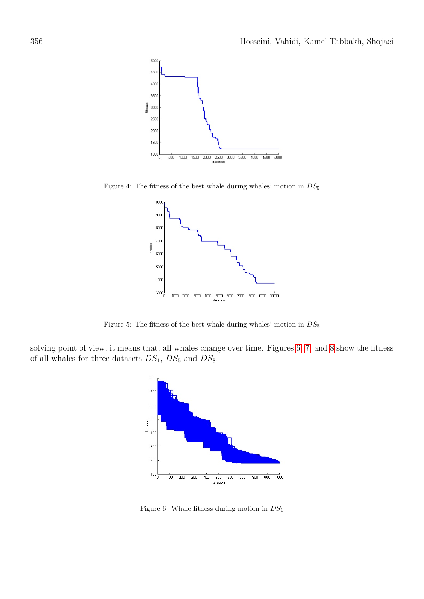

<span id="page-13-0"></span>Figure 4: The fitness of the best whale during whales' motion in  $DS_5$ 



Figure 5: The fitness of the best whale during whales' motion in  $DS_8$ 

<span id="page-13-1"></span>solving point of view, it means that, all whales change over time. Figures [6,](#page-13-2) [7,](#page-14-0) and [8](#page-14-1) show the fitness of all whales for three datasets  $DS_1$ ,  $DS_5$  and  $DS_8$ .



<span id="page-13-2"></span>Figure 6: Whale fitness during motion in  $DS_1$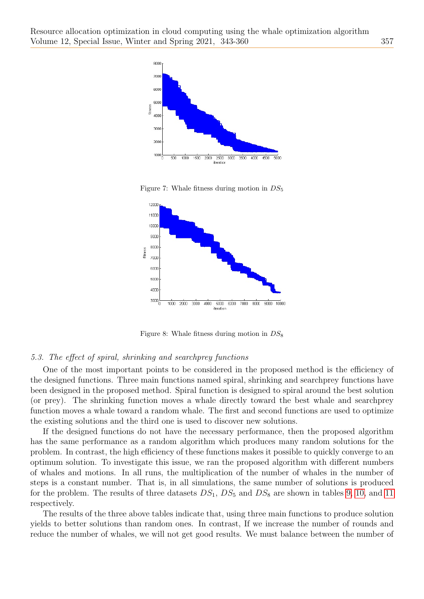

Figure 7: Whale fitness during motion in  $DS_5$ 

<span id="page-14-0"></span>

Figure 8: Whale fitness during motion in  $DS_8$ 

#### <span id="page-14-1"></span>5.3. The effect of spiral, shrinking and searchprey functions

One of the most important points to be considered in the proposed method is the efficiency of the designed functions. Three main functions named spiral, shrinking and searchprey functions have been designed in the proposed method. Spiral function is designed to spiral around the best solution (or prey). The shrinking function moves a whale directly toward the best whale and searchprey function moves a whale toward a random whale. The first and second functions are used to optimize the existing solutions and the third one is used to discover new solutions.

If the designed functions do not have the necessary performance, then the proposed algorithm has the same performance as a random algorithm which produces many random solutions for the problem. In contrast, the high efficiency of these functions makes it possible to quickly converge to an optimum solution. To investigate this issue, we ran the proposed algorithm with different numbers of whales and motions. In all runs, the multiplication of the number of whales in the number of steps is a constant number. That is, in all simulations, the same number of solutions is produced for the problem. The results of three datasets  $DS_1$ ,  $DS_5$  and  $DS_8$  are shown in tables [9,](#page-15-1) [10,](#page-15-2) and [11](#page-15-3) respectively.

The results of the three above tables indicate that, using three main functions to produce solution yields to better solutions than random ones. In contrast, If we increase the number of rounds and reduce the number of whales, we will not get good results. We must balance between the number of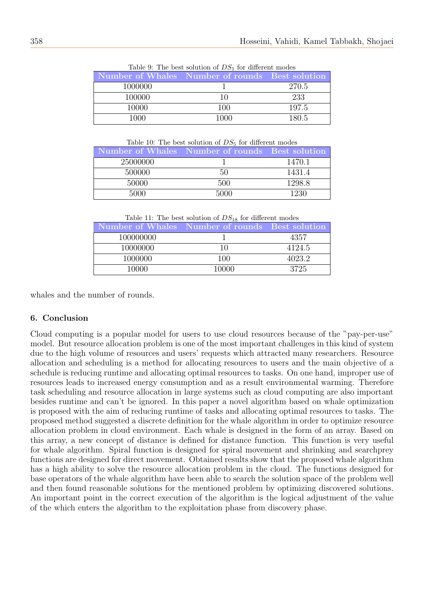<span id="page-15-1"></span>

|                                                 | $\pm$ 0.000 $\pm$ 1.000 $\pm$ 0.000 $\pm$ 0.000 $\pm$ 0.000 $\pm$ 1.000 $\pm$ 0.000 $\pm$ 0.000 $\pm$ 0.000 $\pm$ |       |
|-------------------------------------------------|-------------------------------------------------------------------------------------------------------------------|-------|
| Number of Whales Number of rounds Best solution |                                                                                                                   |       |
| 1000000                                         |                                                                                                                   | 270.5 |
| 100000                                          |                                                                                                                   | 233   |
| 10000                                           | 100                                                                                                               | 197.5 |
| 1000                                            | 1000                                                                                                              | 180.5 |

Table 9: The best solution of  $DS_1$  for different modes

Table 10: The best solution of  $DS_5$  for different modes

<span id="page-15-2"></span>

| Number of Whales Number of rounds Best solution |      |        |
|-------------------------------------------------|------|--------|
| 25000000                                        |      | 1470.1 |
| 500000                                          | 50   | 1431.4 |
| 50000                                           | 500  | 1298.8 |
| 5000                                            | 5000 | 1230   |

Table 11: The best solution of  $DS_{18}$  for different modes

<span id="page-15-3"></span>

|           | Number of Whales Number of rounds Best solution |        |
|-----------|-------------------------------------------------|--------|
| 100000000 |                                                 | 4357   |
| 10000000  | 10                                              | 4124.5 |
| 1000000   | 100                                             | 4023.2 |
| 10000     | 10000                                           | 3725   |

whales and the number of rounds.

## <span id="page-15-0"></span>6. Conclusion

Cloud computing is a popular model for users to use cloud resources because of the "pay-per-use" model. But resource allocation problem is one of the most important challenges in this kind of system due to the high volume of resources and users' requests which attracted many researchers. Resource allocation and scheduling is a method for allocating resources to users and the main objective of a schedule is reducing runtime and allocating optimal resources to tasks. On one hand, improper use of resources leads to increased energy consumption and as a result environmental warming. Therefore task scheduling and resource allocation in large systems such as cloud computing are also important besides runtime and can't be ignored. In this paper a novel algorithm based on whale optimization is proposed with the aim of reducing runtime of tasks and allocating optimal resources to tasks. The proposed method suggested a discrete definition for the whale algorithm in order to optimize resource allocation problem in cloud environment. Each whale is designed in the form of an array. Based on this array, a new concept of distance is defined for distance function. This function is very useful for whale algorithm. Spiral function is designed for spiral movement and shrinking and searchprey functions are designed for direct movement. Obtained results show that the proposed whale algorithm has a high ability to solve the resource allocation problem in the cloud. The functions designed for base operators of the whale algorithm have been able to search the solution space of the problem well and then found reasonable solutions for the mentioned problem by optimizing discovered solutions. An important point in the correct execution of the algorithm is the logical adjustment of the value of the which enters the algorithm to the exploitation phase from discovery phase.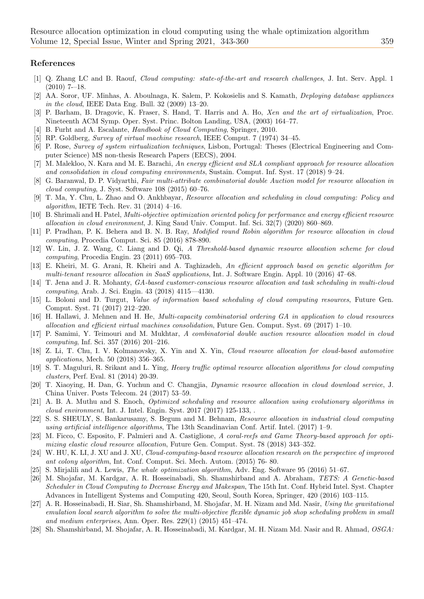#### References

- <span id="page-16-0"></span>[1] Q. Zhang LC and B. Raouf, Cloud computing: state-of-the-art and research challenges, J. Int. Serv. Appl. 1  $(2010)$  7--18.
- <span id="page-16-6"></span>[2] AA. Soror, UF. Minhas, A. Aboulnaga, K. Salem, P. Kokosielis and S. Kamath, Deploying database appliances in the cloud, IEEE Data Eng. Bull. 32 (2009) 13–20.
- <span id="page-16-2"></span>[3] P. Barham, B. Dragovic, K. Fraser, S. Hand, T. Harris and A. Ho, Xen and the art of virtualization, Proc. Nineteenth ACM Symp. Oper. Syst. Princ. Bolton Landing, USA, (2003) 164–77.
- <span id="page-16-7"></span>[4] B. Furht and A. Escalante, Handbook of Cloud Computing, Springer, 2010.
- <span id="page-16-3"></span>[5] RP. Goldberg, Survey of virtual machine research, IEEE Comput. 7 (1974) 34–45.
- <span id="page-16-5"></span>[6] P. Rose, Survey of system virtualization techniques, Lisbon, Portugal: Theses (Electrical Engineering and Computer Science) MS non-thesis Research Papers (EECS), 2004.
- <span id="page-16-8"></span>[7] M. Malekloo, N. Kara and M. E. Barachi, An energy efficient and SLA compliant approach for resource allocation and consolidation in cloud computing environments, Sustain. Comput. Inf. Syst. 17 (2018) 9–24.
- <span id="page-16-9"></span>[8] G. Baranwal, D. P. Vidyarthi, Fair multi-attribute combinatorial double Auction model for resource allocation in cloud computing, J. Syst. Software 108 (2015) 60–76.
- <span id="page-16-10"></span>[9] T. Ma, Y. Chu, L. Zhao and O. Ankhbayar, Resource allocation and scheduling in cloud computing: Policy and algorithm, IETE Tech. Rev. 31 (2014) 4–16.
- <span id="page-16-11"></span>[10] B. Shrimali and H. Patel, Multi-objective optimization oriented policy for performance and energy efficient resource allocation in cloud environment, J. King Saud Univ. Comput. Inf. Sci. 32(7) (2020) 860–869.
- <span id="page-16-12"></span>[11] P. Pradhan, P. K. Behera and B. N. B. Ray, Modified round Robin algorithm for resource allocation in cloud computing, Procedia Comput. Sci. 85 (2016) 878-890.
- <span id="page-16-13"></span>[12] W. Lin, J. Z. Wang, C. Liang and D. Qi, A Threshold-based dynamic resource allocation scheme for cloud computing, Procedia Engin. 23 (2011) 695–703.
- <span id="page-16-14"></span>[13] E. Kheiri, M. G. Arani, R. Kheiri and A. Taghizadeh, An efficient approach based on genetic algorithm for multi-tenant resource allocation in SaaS applications, Int. J. Software Engin. Appl. 10 (2016) 47–68.
- <span id="page-16-15"></span>[14] T. Jena and J. R. Mohanty, GA-based customer-conscious resource allocation and task scheduling in multi-cloud computing, Arab. J. Sci. Engin. 43 (2018) 4115—4130.
- <span id="page-16-16"></span>[15] L. Boloni and D. Turgut, Value of information based scheduling of cloud computing resources, Future Gen. Comput. Syst. 71 (2017) 212–220.
- <span id="page-16-17"></span>[16] H. Hallawi, J. Mehnen and H. He, Multi-capacity combinatorial ordering GA in application to cloud resources allocation and efficient virtual machines consolidation, Future Gen. Comput. Syst.  $69$  (2017) 1–10.
- <span id="page-16-18"></span>[17] P. Samimi, Y. Teimouri and M. Mukhtar, A combinatorial double auction resource allocation model in cloud computing, Inf. Sci. 357 (2016) 201–216.
- <span id="page-16-19"></span>[18] Z. Li, T. Chu, I. V. Kolmanovsky, X. Yin and X. Yin, Cloud resource allocation for cloud-based automotive applications, Mech. 50 (2018) 356–365.
- <span id="page-16-20"></span>[19] S. T. Maguluri, R. Srikant and L. Ying, Heavy traffic optimal resource allocation algorithms for cloud computing clusters, Perf. Eval. 81 (2014) 20-39.
- <span id="page-16-21"></span>[20] T. Xiaoying, H. Dan, G. Yuchun and C. Changjia, Dynamic resource allocation in cloud download service, J. China Univer. Posts Telecom. 24 (2017) 53–59.
- <span id="page-16-22"></span>[21] A. B. A. Muthu and S. Enoch, Optimized scheduling and resource allocation using evolutionary algorithms in cloud environment, Int. J. Intel. Engin. Syst. 2017 (2017) 125-133, .
- <span id="page-16-23"></span>[22] S. S. SHEULY, S. Bankarusamy, S. Begum and M. Behnam, Resource allocation in industrial cloud computing using artificial intelligence algorithms, The 13th Scandinavian Conf. Artif. Intel. (2017) 1–9.
- <span id="page-16-24"></span>[23] M. Ficco, C. Esposito, F. Palmieri and A. Castiglione, A coral-reefs and Game Theory-based approach for optimizing elastic cloud resource allocation, Future Gen. Comput. Syst. 78 (2018) 343–352.
- <span id="page-16-25"></span>[24] W. HU, K. LI, J. XU and J. XU, Cloud-computing-based resource allocation research on the perspective of improved ant colony algorithm, Int. Conf. Comput. Sci. Mech. Autom. (2015) 76- 80.
- <span id="page-16-26"></span>[25] S. Mirjalili and A. Lewis, The whale optimization algorithm, Adv. Eng. Software 95 (2016) 51–67.
- <span id="page-16-1"></span>[26] M. Shojafar, M. Kardgar, A. R. Hosseinabadi, Sh. Shamshirband and A. Abraham, TETS: A Genetic-based Scheduler in Cloud Computing to Decrease Energy and Makespan, The 15th Int. Conf. Hybrid Intel. Syst. Chapter Advances in Intelligent Systems and Computing 420, Seoul, South Korea, Springer, 420 (2016) 103–115.
- <span id="page-16-4"></span>[27] A. R. Hosseinabadi, H. Siar, Sh. Shamshirband, M. Shojafar, M. H. Nizam and Md. Nasir, Using the gravitational emulation local search algorithm to solve the multi-objective flexible dynamic job shop scheduling problem in small and medium enterprises, Ann. Oper. Res. 229(1) (2015) 451–474.
- [28] Sh. Shamshirband, M. Shojafar, A. R. Hosseinabadi, M. Kardgar, M. H. Nizam Md. Nasir and R. Ahmad, OSGA: